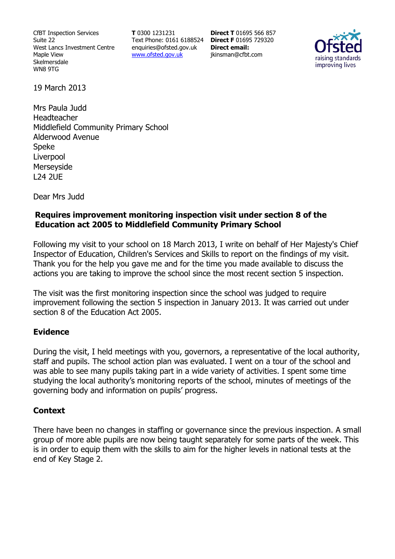CfBT Inspection Services Suite 22 West Lancs Investment Centre Maple View Skelmersdale WN8 9TG

**T** 0300 1231231 Text Phone: 0161 6188524 **Direct F** 01695 729320 enquiries@ofsted.gov.uk www.ofsted.gov.uk

**Direct T** 01695 566 857 **Direct email:**  jkinsman@cfbt.com



19 March 2013

Mrs Paula Judd Headteacher Middlefield Community Primary School Alderwood Avenue Speke Liverpool Merseyside L24 2UE

Dear Mrs Judd

## **Requires improvement monitoring inspection visit under section 8 of the Education act 2005 to Middlefield Community Primary School**

Following my visit to your school on 18 March 2013, I write on behalf of Her Majesty's Chief Inspector of Education, Children's Services and Skills to report on the findings of my visit. Thank you for the help you gave me and for the time you made available to discuss the actions you are taking to improve the school since the most recent section 5 inspection.

The visit was the first monitoring inspection since the school was judged to require improvement following the section 5 inspection in January 2013. It was carried out under section 8 of the Education Act 2005.

#### **Evidence**

During the visit, I held meetings with you, governors, a representative of the local authority, staff and pupils. The school action plan was evaluated. I went on a tour of the school and was able to see many pupils taking part in a wide variety of activities. I spent some time studying the local authority's monitoring reports of the school, minutes of meetings of the governing body and information on pupils' progress.

#### **Context**

There have been no changes in staffing or governance since the previous inspection. A small group of more able pupils are now being taught separately for some parts of the week. This is in order to equip them with the skills to aim for the higher levels in national tests at the end of Key Stage 2.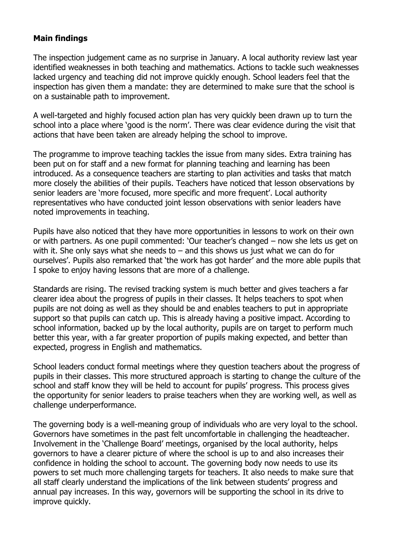## **Main findings**

The inspection judgement came as no surprise in January. A local authority review last year identified weaknesses in both teaching and mathematics. Actions to tackle such weaknesses lacked urgency and teaching did not improve quickly enough. School leaders feel that the inspection has given them a mandate: they are determined to make sure that the school is on a sustainable path to improvement.

A well-targeted and highly focused action plan has very quickly been drawn up to turn the school into a place where 'good is the norm'. There was clear evidence during the visit that actions that have been taken are already helping the school to improve.

The programme to improve teaching tackles the issue from many sides. Extra training has been put on for staff and a new format for planning teaching and learning has been introduced. As a consequence teachers are starting to plan activities and tasks that match more closely the abilities of their pupils. Teachers have noticed that lesson observations by senior leaders are 'more focused, more specific and more frequent'. Local authority representatives who have conducted joint lesson observations with senior leaders have noted improvements in teaching.

Pupils have also noticed that they have more opportunities in lessons to work on their own or with partners. As one pupil commented: 'Our teacher's changed – now she lets us get on with it. She only says what she needs to  $-$  and this shows us just what we can do for ourselves'. Pupils also remarked that 'the work has got harder' and the more able pupils that I spoke to enjoy having lessons that are more of a challenge.

Standards are rising. The revised tracking system is much better and gives teachers a far clearer idea about the progress of pupils in their classes. It helps teachers to spot when pupils are not doing as well as they should be and enables teachers to put in appropriate support so that pupils can catch up. This is already having a positive impact. According to school information, backed up by the local authority, pupils are on target to perform much better this year, with a far greater proportion of pupils making expected, and better than expected, progress in English and mathematics.

School leaders conduct formal meetings where they question teachers about the progress of pupils in their classes. This more structured approach is starting to change the culture of the school and staff know they will be held to account for pupils' progress. This process gives the opportunity for senior leaders to praise teachers when they are working well, as well as challenge underperformance.

The governing body is a well-meaning group of individuals who are very loyal to the school. Governors have sometimes in the past felt uncomfortable in challenging the headteacher. Involvement in the 'Challenge Board' meetings, organised by the local authority, helps governors to have a clearer picture of where the school is up to and also increases their confidence in holding the school to account. The governing body now needs to use its powers to set much more challenging targets for teachers. It also needs to make sure that all staff clearly understand the implications of the link between students' progress and annual pay increases. In this way, governors will be supporting the school in its drive to improve quickly.